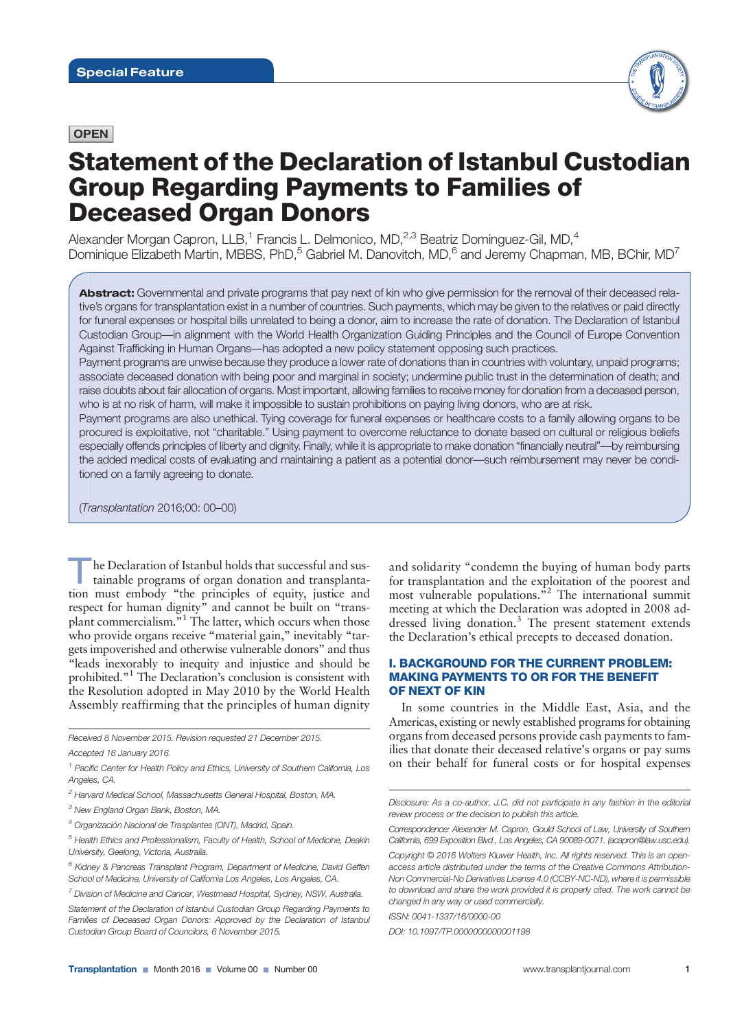# **OPEN**

# Statement of the Declaration of Istanbul Custodian Group Regarding Payments to Families of Deceased Organ Donors

Alexander Morgan Capron, LLB,<sup>1</sup> Francis L. Delmonico, MD,<sup>2,3</sup> Beatriz Dominguez-Gil, MD,<sup>4</sup> Dominique Elizabeth Martin, MBBS, PhD,5 Gabriel M. Danovitch, MD,6 and Jeremy Chapman, MB, BChir, MD7

Abstract: Governmental and private programs that pay next of kin who give permission for the removal of their deceased relative's organs for transplantation exist in a number of countries. Such payments, which may be given to the relatives or paid directly for funeral expenses or hospital bills unrelated to being a donor, aim to increase the rate of donation. The Declaration of Istanbul Custodian Group—in alignment with the World Health Organization Guiding Principles and the Council of Europe Convention Against Trafficking in Human Organs—has adopted a new policy statement opposing such practices.

Payment programs are unwise because they produce a lower rate of donations than in countries with voluntary, unpaid programs; associate deceased donation with being poor and marginal in society; undermine public trust in the determination of death; and raise doubts about fair allocation of organs. Most important, allowing families to receive money for donation from a deceased person, who is at no risk of harm, will make it impossible to sustain prohibitions on paying living donors, who are at risk.

Payment programs are also unethical. Tying coverage for funeral expenses or healthcare costs to a family allowing organs to be procured is exploitative, not "charitable." Using payment to overcome reluctance to donate based on cultural or religious beliefs especially offends principles of liberty and dignity. Finally, while it is appropriate to make donation "financially neutral"—by reimbursing the added medical costs of evaluating and maintaining a patient as a potential donor—such reimbursement may never be conditioned on a family agreeing to donate.

(Transplantation 2016;00: 00–00)

he Declaration of Istanbul holds that successful and sustainable programs of organ donation and transplantation must embody "the principles of equity, justice and respect for human dignity" and cannot be built on "transplant commercialism."<sup>1</sup> The latter, which occurs when those who provide organs receive "material gain," inevitably "targets impoverished and otherwise vulnerable donors" and thus "leads inexorably to inequity and injustice and should be prohibited."<sup>1</sup> The Declaration's conclusion is consistent with the Resolution adopted in May 2010 by the World Health Assembly reaffirming that the principles of human dignity

Received 8 November 2015. Revision requested 21 December 2015. Accepted 16 January 2016.

 $1$  Pacific Center for Health Policy and Ethics, University of Southern California, Los

and solidarity "condemn the buying of human body parts for transplantation and the exploitation of the poorest and most vulnerable populations."<sup>2</sup> The international summit meeting at which the Declaration was adopted in 2008 addressed living donation.<sup>3</sup> The present statement extends the Declaration's ethical precepts to deceased donation.

## I. BACKGROUND FOR THE CURRENT PROBLEM: MAKING PAYMENTS TO OR FOR THE BENEFIT OF NEXT OF KIN

In some countries in the Middle East, Asia, and the Americas, existing or newly established programs for obtaining organs from deceased persons provide cash payments to families that donate their deceased relative's organs or pay sums on their behalf for funeral costs or for hospital expenses

Correspondence: Alexander M. Capron, Gould School of Law, University of Southern California, 699 Exposition Blvd., Los Angeles, CA 90089-0071. ([acapron@law.usc.edu\)](mailto:acapron@law.usc.edu).

ISSN: 0041-1337/16/0000-00 DOI: 10.1097/TP.0000000000001198



Angeles, CA.

 $2$  Harvard Medical School, Massachusetts General Hospital, Boston, MA.

<sup>&</sup>lt;sup>3</sup> New England Organ Bank, Boston, MA.

<sup>&</sup>lt;sup>4</sup> Organización Nacional de Trasplantes (ONT), Madrid, Spain.

 $5$  Health Ethics and Professionalism, Faculty of Health, School of Medicine, Deakin University, Geelong, Victoria, Australia.

 $^6$  Kidney & Pancreas Transplant Program, Department of Medicine, David Geffen School of Medicine, University of California Los Angeles, Los Angeles, CA.

<sup>7</sup> Division of Medicine and Cancer, Westmead Hospital, Sydney, NSW, Australia.

Statement of the Declaration of Istanbul Custodian Group Regarding Payments to Families of Deceased Organ Donors: Approved by the Declaration of Istanbul Custodian Group Board of Councilors, 6 November 2015.

Disclosure: As a co-author, J.C. did not participate in any fashion in the editorial review process or the decision to publish this article.

Copyright © 2016 Wolters Kluwer Health, Inc. All rights reserved. This is an openaccess article distributed under the terms of the [Creative Commons Attribution-](http://creativecommons.org/licenses/by-nc-nd/4.0/)[Non Commercial-No Derivatives License 4.0 \(CCBY-NC-ND\)](http://creativecommons.org/licenses/by-nc-nd/4.0/), where it is permissible to download and share the work provided it is properly cited. The work cannot be changed in any way or used commercially.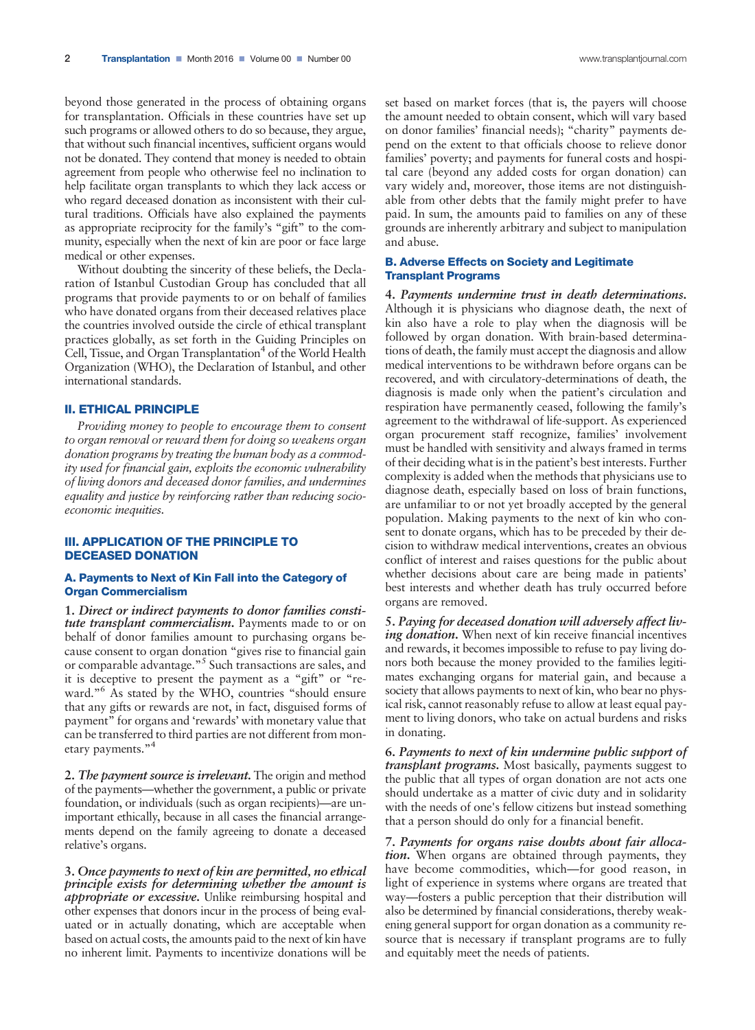beyond those generated in the process of obtaining organs for transplantation. Officials in these countries have set up such programs or allowed others to do so because, they argue, that without such financial incentives, sufficient organs would not be donated. They contend that money is needed to obtain agreement from people who otherwise feel no inclination to help facilitate organ transplants to which they lack access or who regard deceased donation as inconsistent with their cultural traditions. Officials have also explained the payments as appropriate reciprocity for the family's "gift" to the community, especially when the next of kin are poor or face large medical or other expenses.

Without doubting the sincerity of these beliefs, the Declaration of Istanbul Custodian Group has concluded that all programs that provide payments to or on behalf of families who have donated organs from their deceased relatives place the countries involved outside the circle of ethical transplant practices globally, as set forth in the Guiding Principles on Cell, Tissue, and Organ Transplantation<sup>4</sup> of the World Health Organization (WHO), the Declaration of Istanbul, and other international standards.

# II. ETHICAL PRINCIPLE

Providing money to people to encourage them to consent to organ removal or reward them for doing so weakens organ donation programs by treating the human body as a commodity used for financial gain, exploits the economic vulnerability of living donors and deceased donor families, and undermines equality and justice by reinforcing rather than reducing socioeconomic inequities.

### III. APPLICATION OF THE PRINCIPLE TO DECEASED DONATION

## A. Payments to Next of Kin Fall into the Category of Organ Commercialism

1. Direct or indirect payments to donor families constitute transplant commercialism. Payments made to or on behalf of donor families amount to purchasing organs because consent to organ donation "gives rise to financial gain or comparable advantage."<sup>5</sup> Such transactions are sales, and it is deceptive to present the payment as a "gift" or "reward."<sup>6</sup> As stated by the WHO, countries "should ensure that any gifts or rewards are not, in fact, disguised forms of payment" for organs and 'rewards' with monetary value that can be transferred to third parties are not different from monetary payments."<sup>4</sup>

2. The payment source is irrelevant. The origin and method of the payments—whether the government, a public or private foundation, or individuals (such as organ recipients)—are unimportant ethically, because in all cases the financial arrangements depend on the family agreeing to donate a deceased relative's organs.

3. Once payments to next of kin are permitted, no ethical principle exists for determining whether the amount is *appropriate or excessive*. Unlike reimbursing hospital and other expenses that donors incur in the process of being evaluated or in actually donating, which are acceptable when based on actual costs, the amounts paid to the next of kin have no inherent limit. Payments to incentivize donations will be

set based on market forces (that is, the payers will choose the amount needed to obtain consent, which will vary based on donor families' financial needs); "charity" payments depend on the extent to that officials choose to relieve donor families' poverty; and payments for funeral costs and hospital care (beyond any added costs for organ donation) can vary widely and, moreover, those items are not distinguishable from other debts that the family might prefer to have paid. In sum, the amounts paid to families on any of these grounds are inherently arbitrary and subject to manipulation and abuse.

## B. Adverse Effects on Society and Legitimate Transplant Programs

4. Payments undermine trust in death determinations. Although it is physicians who diagnose death, the next of kin also have a role to play when the diagnosis will be followed by organ donation. With brain-based determinations of death, the family must accept the diagnosis and allow medical interventions to be withdrawn before organs can be recovered, and with circulatory-determinations of death, the diagnosis is made only when the patient's circulation and respiration have permanently ceased, following the family's agreement to the withdrawal of life-support. As experienced organ procurement staff recognize, families' involvement must be handled with sensitivity and always framed in terms of their deciding what is in the patient's best interests. Further complexity is added when the methods that physicians use to diagnose death, especially based on loss of brain functions, are unfamiliar to or not yet broadly accepted by the general population. Making payments to the next of kin who consent to donate organs, which has to be preceded by their decision to withdraw medical interventions, creates an obvious conflict of interest and raises questions for the public about whether decisions about care are being made in patients' best interests and whether death has truly occurred before organs are removed.

5. Paying for deceased donation will adversely affect liv-<br>ing donation. When next of kin receive financial incentives and rewards, it becomes impossible to refuse to pay living donors both because the money provided to the families legitimates exchanging organs for material gain, and because a society that allows payments to next of kin, who bear no physical risk, cannot reasonably refuse to allow at least equal payment to living donors, who take on actual burdens and risks in donating.

6. Payments to next of kin undermine public support of transplant programs. Most basically, payments suggest to the public that all types of organ donation are not acts one should undertake as a matter of civic duty and in solidarity with the needs of one's fellow citizens but instead something that a person should do only for a financial benefit.

7. Payments for organs raise doubts about fair allocation. When organs are obtained through payments, they have become commodities, which—for good reason, in light of experience in systems where organs are treated that way—fosters a public perception that their distribution will also be determined by financial considerations, thereby weakening general support for organ donation as a community resource that is necessary if transplant programs are to fully and equitably meet the needs of patients.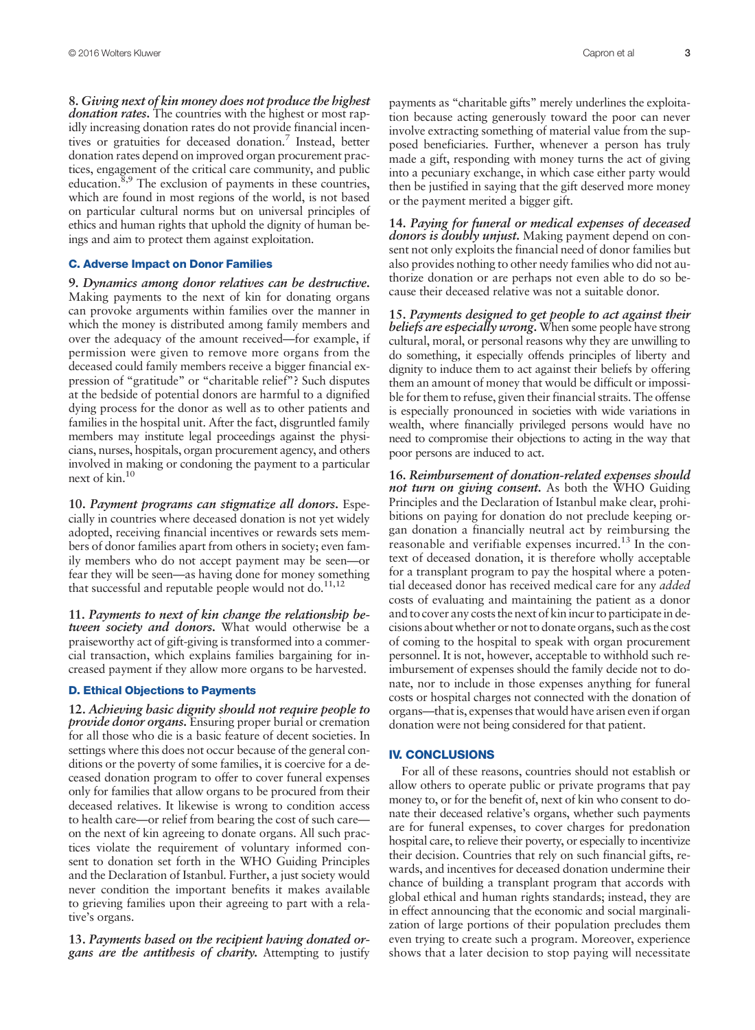8. Giving next of kin money does not produce the highest donation rates. The countries with the highest or most rapidly increasing donation rates do not provide financial incentives or gratuities for deceased donation.<sup>7</sup> Instead, better donation rates depend on improved organ procurement practices, engagement of the critical care community, and public education. $8,9$  The exclusion of payments in these countries, which are found in most regions of the world, is not based on particular cultural norms but on universal principles of ethics and human rights that uphold the dignity of human beings and aim to protect them against exploitation.

## C. Adverse Impact on Donor Families

9. Dynamics among donor relatives can be destructive. Making payments to the next of kin for donating organs can provoke arguments within families over the manner in which the money is distributed among family members and over the adequacy of the amount received—for example, if permission were given to remove more organs from the deceased could family members receive a bigger financial expression of "gratitude" or "charitable relief"? Such disputes at the bedside of potential donors are harmful to a dignified dying process for the donor as well as to other patients and families in the hospital unit. After the fact, disgruntled family members may institute legal proceedings against the physicians, nurses, hospitals, organ procurement agency, and others involved in making or condoning the payment to a particular next of kin.10

10. Payment programs can stigmatize all donors. Especially in countries where deceased donation is not yet widely adopted, receiving financial incentives or rewards sets members of donor families apart from others in society; even family members who do not accept payment may be seen—or fear they will be seen—as having done for money something that successful and reputable people would not do.<sup>11,12</sup>

11. Payments to next of kin change the relationship between society and donors. What would otherwise be a praiseworthy act of gift-giving is transformed into a commercial transaction, which explains families bargaining for increased payment if they allow more organs to be harvested.

# D. Ethical Objections to Payments

12. Achieving basic dignity should not require people to provide donor organs. Ensuring proper burial or cremation for all those who die is a basic feature of decent societies. In settings where this does not occur because of the general conditions or the poverty of some families, it is coercive for a deceased donation program to offer to cover funeral expenses only for families that allow organs to be procured from their deceased relatives. It likewise is wrong to condition access to health care—or relief from bearing the cost of such care on the next of kin agreeing to donate organs. All such practices violate the requirement of voluntary informed consent to donation set forth in the WHO Guiding Principles and the Declaration of Istanbul. Further, a just society would never condition the important benefits it makes available to grieving families upon their agreeing to part with a relative's organs.

13. Payments based on the recipient having donated organs are the antithesis of charity. Attempting to justify

payments as "charitable gifts" merely underlines the exploitation because acting generously toward the poor can never involve extracting something of material value from the supposed beneficiaries. Further, whenever a person has truly made a gift, responding with money turns the act of giving into a pecuniary exchange, in which case either party would then be justified in saying that the gift deserved more money or the payment merited a bigger gift.

14. Paying for funeral or medical expenses of deceased donors is doubly unjust. Making payment depend on consent not only exploits the financial need of donor families but also provides nothing to other needy families who did not authorize donation or are perhaps not even able to do so because their deceased relative was not a suitable donor.

15. Payments designed to get people to act against their beliefs are especially wrong. When some people have strong cultural, moral, or personal reasons why they are unwilling to do something, it especially offends principles of liberty and dignity to induce them to act against their beliefs by offering them an amount of money that would be difficult or impossible for them to refuse, given their financial straits. The offense is especially pronounced in societies with wide variations in wealth, where financially privileged persons would have no need to compromise their objections to acting in the way that poor persons are induced to act.

16. Reimbursement of donation-related expenses should not turn on giving consent. As both the WHO Guiding Principles and the Declaration of Istanbul make clear, prohibitions on paying for donation do not preclude keeping organ donation a financially neutral act by reimbursing the reasonable and verifiable expenses incurred.<sup>13</sup> In the context of deceased donation, it is therefore wholly acceptable for a transplant program to pay the hospital where a potential deceased donor has received medical care for any added costs of evaluating and maintaining the patient as a donor and to cover any costs the next of kin incur to participate in decisions about whether or not to donate organs, such as the cost of coming to the hospital to speak with organ procurement personnel. It is not, however, acceptable to withhold such reimbursement of expenses should the family decide not to donate, nor to include in those expenses anything for funeral costs or hospital charges not connected with the donation of organs—that is, expenses that would have arisen even if organ donation were not being considered for that patient.

## IV. CONCLUSIONS

For all of these reasons, countries should not establish or allow others to operate public or private programs that pay money to, or for the benefit of, next of kin who consent to donate their deceased relative's organs, whether such payments are for funeral expenses, to cover charges for predonation hospital care, to relieve their poverty, or especially to incentivize their decision. Countries that rely on such financial gifts, rewards, and incentives for deceased donation undermine their chance of building a transplant program that accords with global ethical and human rights standards; instead, they are in effect announcing that the economic and social marginalization of large portions of their population precludes them even trying to create such a program. Moreover, experience shows that a later decision to stop paying will necessitate